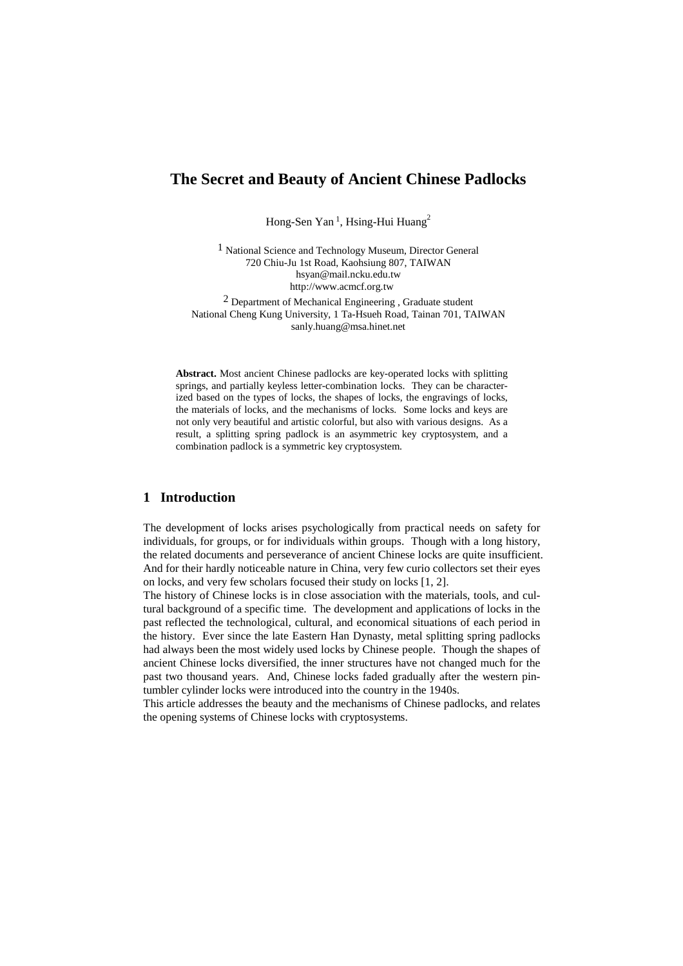# **The Secret and Beauty of Ancient Chinese Padlocks**

Hong-Sen Yan<sup>1</sup>, Hsing-Hui Huang<sup>2</sup>

1 National Science and Technology Museum, Director General 720 Chiu-Ju 1st Road, Kaohsiung 807, TAIWAN hsyan@mail.ncku.edu.tw http://www.acmcf.org.tw

2 Department of Mechanical Engineering , Graduate student National Cheng Kung University, 1 Ta-Hsueh Road, Tainan 701, TAIWAN sanly.huang@msa.hinet.net

**Abstract.** Most ancient Chinese padlocks are key-operated locks with splitting springs, and partially keyless letter-combination locks. They can be characterized based on the types of locks, the shapes of locks, the engravings of locks, the materials of locks, and the mechanisms of locks. Some locks and keys are not only very beautiful and artistic colorful, but also with various designs. As a result, a splitting spring padlock is an asymmetric key cryptosystem, and a combination padlock is a symmetric key cryptosystem.

# **1 Introduction**

The development of locks arises psychologically from practical needs on safety for individuals, for groups, or for individuals within groups. Though with a long history, the related documents and perseverance of ancient Chinese locks are quite insufficient. And for their hardly noticeable nature in China, very few curio collectors set their eyes on locks, and very few scholars focused their study on locks [1, 2].

The history of Chinese locks is in close association with the materials, tools, and cultural background of a specific time. The development and applications of locks in the past reflected the technological, cultural, and economical situations of each period in the history. Ever since the late Eastern Han Dynasty, metal splitting spring padlocks had always been the most widely used locks by Chinese people. Though the shapes of ancient Chinese locks diversified, the inner structures have not changed much for the past two thousand years. And, Chinese locks faded gradually after the western pintumbler cylinder locks were introduced into the country in the 1940s.

This article addresses the beauty and the mechanisms of Chinese padlocks, and relates the opening systems of Chinese locks with cryptosystems.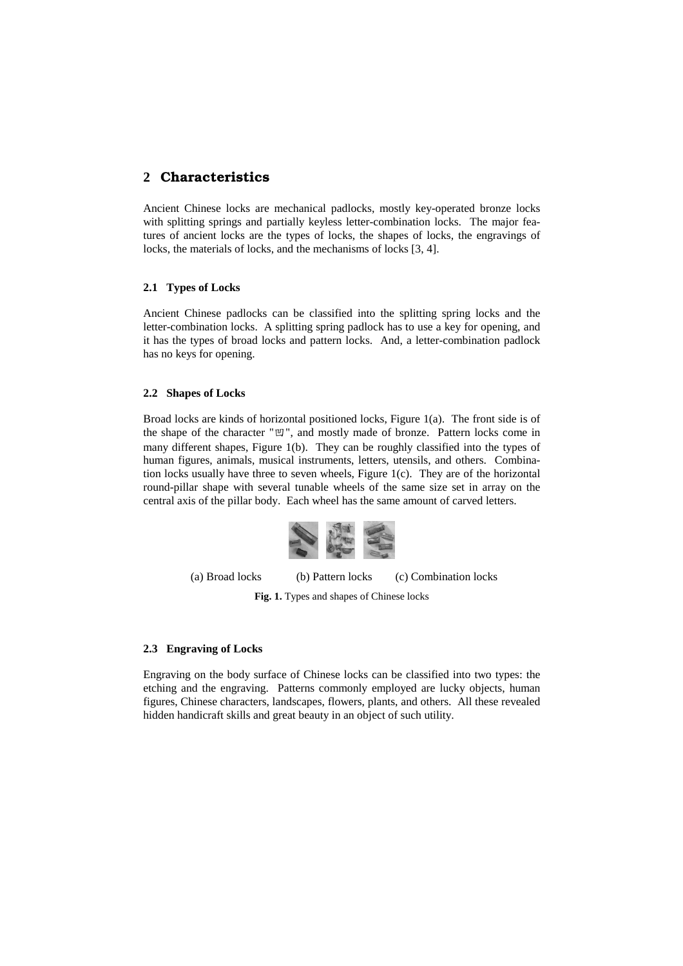# **2** Characteristics

Ancient Chinese locks are mechanical padlocks, mostly key-operated bronze locks with splitting springs and partially keyless letter-combination locks. The major features of ancient locks are the types of locks, the shapes of locks, the engravings of locks, the materials of locks, and the mechanisms of locks [3, 4].

## **2.1 Types of Locks**

Ancient Chinese padlocks can be classified into the splitting spring locks and the letter-combination locks. A splitting spring padlock has to use a key for opening, and it has the types of broad locks and pattern locks. And, a letter-combination padlock has no keys for opening.

### **2.2 Shapes of Locks**

Broad locks are kinds of horizontal positioned locks, Figure 1(a). The front side is of the shape of the character " $\mathfrak{V}$ ", and mostly made of bronze. Pattern locks come in many different shapes, Figure 1(b). They can be roughly classified into the types of human figures, animals, musical instruments, letters, utensils, and others. Combination locks usually have three to seven wheels, Figure 1(c). They are of the horizontal round-pillar shape with several tunable wheels of the same size set in array on the central axis of the pillar body. Each wheel has the same amount of carved letters.



(a) Broad locks (b) Pattern locks (c) Combination locks

**Fig. 1.** Types and shapes of Chinese locks

## **2.3 Engraving of Locks**

Engraving on the body surface of Chinese locks can be classified into two types: the etching and the engraving. Patterns commonly employed are lucky objects, human figures, Chinese characters, landscapes, flowers, plants, and others. All these revealed hidden handicraft skills and great beauty in an object of such utility.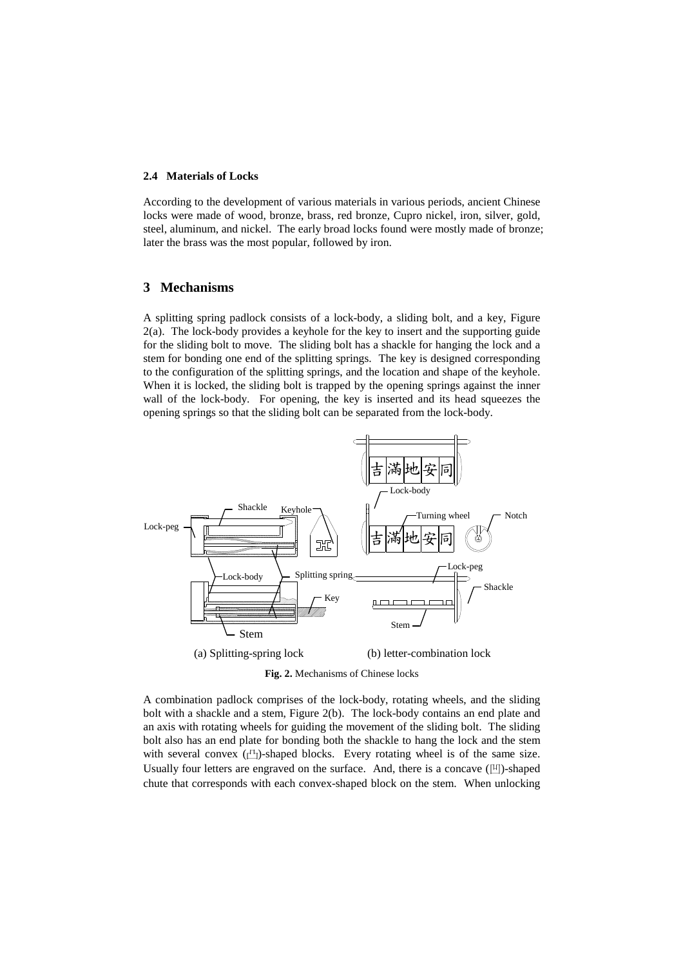#### **2.4 Materials of Locks**

According to the development of various materials in various periods, ancient Chinese locks were made of wood, bronze, brass, red bronze, Cupro nickel, iron, silver, gold, steel, aluminum, and nickel. The early broad locks found were mostly made of bronze; later the brass was the most popular, followed by iron.

## **3 Mechanisms**

A splitting spring padlock consists of a lock-body, a sliding bolt, and a key, Figure 2(a). The lock-body provides a keyhole for the key to insert and the supporting guide for the sliding bolt to move. The sliding bolt has a shackle for hanging the lock and a stem for bonding one end of the splitting springs. The key is designed corresponding to the configuration of the splitting springs, and the location and shape of the keyhole. When it is locked, the sliding bolt is trapped by the opening springs against the inner wall of the lock-body. For opening, the key is inserted and its head squeezes the opening springs so that the sliding bolt can be separated from the lock-body.



**Fig. 2.** Mechanisms of Chinese locks

A combination padlock comprises of the lock-body, rotating wheels, and the sliding bolt with a shackle and a stem, Figure 2(b). The lock-body contains an end plate and an axis with rotating wheels for guiding the movement of the sliding bolt. The sliding bolt also has an end plate for bonding both the shackle to hang the lock and the stem with several convex  $(\Box)$ -shaped blocks. Every rotating wheel is of the same size. Usually four letters are engraved on the surface. And, there is a concave  $(\mathbb{H})$ -shaped chute that corresponds with each convex-shaped block on the stem. When unlocking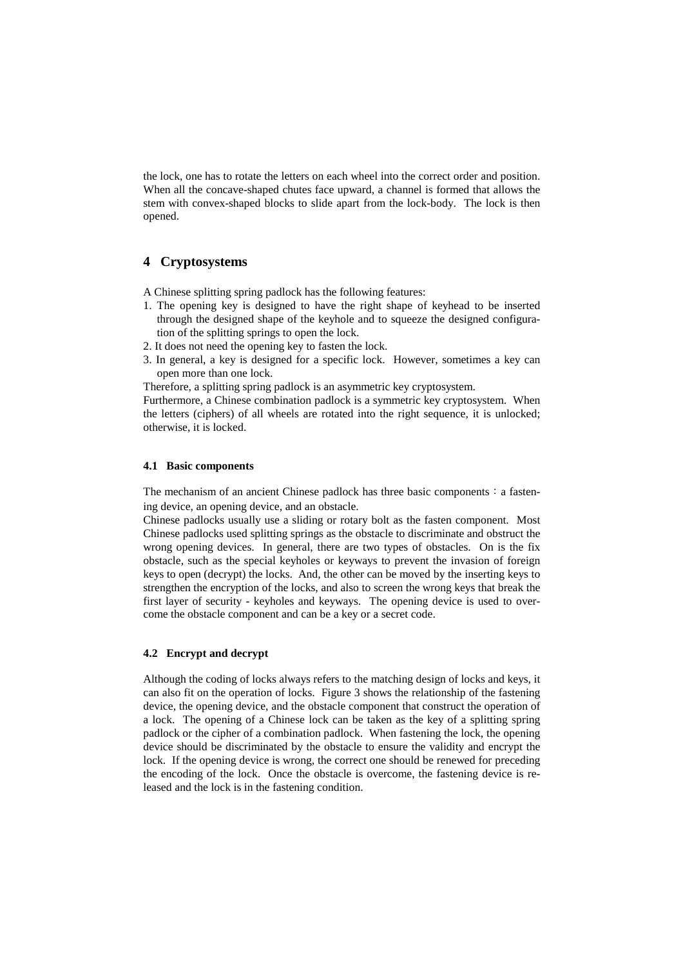the lock, one has to rotate the letters on each wheel into the correct order and position. When all the concave-shaped chutes face upward, a channel is formed that allows the stem with convex-shaped blocks to slide apart from the lock-body. The lock is then opened.

# **4 Cryptosystems**

A Chinese splitting spring padlock has the following features:

- 1. The opening key is designed to have the right shape of keyhead to be inserted through the designed shape of the keyhole and to squeeze the designed configuration of the splitting springs to open the lock.
- 2. It does not need the opening key to fasten the lock.
- 3. In general, a key is designed for a specific lock. However, sometimes a key can open more than one lock.

Therefore, a splitting spring padlock is an asymmetric key cryptosystem.

Furthermore, a Chinese combination padlock is a symmetric key cryptosystem. When the letters (ciphers) of all wheels are rotated into the right sequence, it is unlocked; otherwise, it is locked.

#### **4.1 Basic components**

The mechanism of an ancient Chinese padlock has three basic components  $\colon$  a fastening device, an opening device, and an obstacle.

Chinese padlocks usually use a sliding or rotary bolt as the fasten component. Most Chinese padlocks used splitting springs as the obstacle to discriminate and obstruct the wrong opening devices. In general, there are two types of obstacles. On is the fix obstacle, such as the special keyholes or keyways to prevent the invasion of foreign keys to open (decrypt) the locks. And, the other can be moved by the inserting keys to strengthen the encryption of the locks, and also to screen the wrong keys that break the first layer of security - keyholes and keyways. The opening device is used to overcome the obstacle component and can be a key or a secret code.

### **4.2 Encrypt and decrypt**

Although the coding of locks always refers to the matching design of locks and keys, it can also fit on the operation of locks. Figure 3 shows the relationship of the fastening device, the opening device, and the obstacle component that construct the operation of a lock. The opening of a Chinese lock can be taken as the key of a splitting spring padlock or the cipher of a combination padlock. When fastening the lock, the opening device should be discriminated by the obstacle to ensure the validity and encrypt the lock. If the opening device is wrong, the correct one should be renewed for preceding the encoding of the lock. Once the obstacle is overcome, the fastening device is released and the lock is in the fastening condition.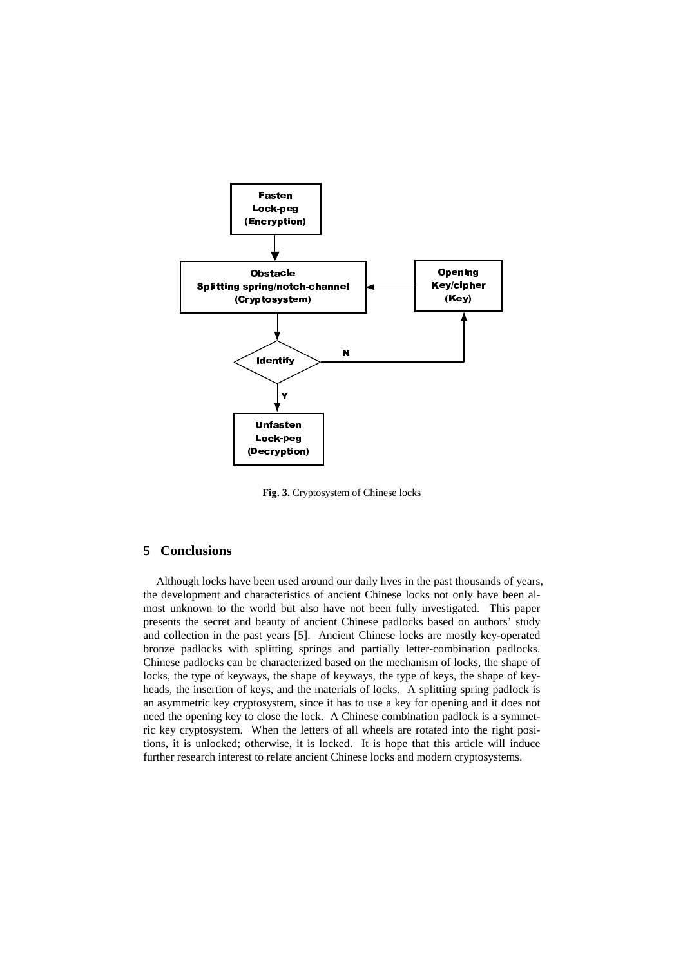

**Fig. 3.** Cryptosystem of Chinese locks

## **5 Conclusions**

Although locks have been used around our daily lives in the past thousands of years, the development and characteristics of ancient Chinese locks not only have been almost unknown to the world but also have not been fully investigated. This paper presents the secret and beauty of ancient Chinese padlocks based on authors' study and collection in the past years [5]. Ancient Chinese locks are mostly key-operated bronze padlocks with splitting springs and partially letter-combination padlocks. Chinese padlocks can be characterized based on the mechanism of locks, the shape of locks, the type of keyways, the shape of keyways, the type of keys, the shape of keyheads, the insertion of keys, and the materials of locks. A splitting spring padlock is an asymmetric key cryptosystem, since it has to use a key for opening and it does not need the opening key to close the lock. A Chinese combination padlock is a symmetric key cryptosystem. When the letters of all wheels are rotated into the right positions, it is unlocked; otherwise, it is locked. It is hope that this article will induce further research interest to relate ancient Chinese locks and modern cryptosystems.